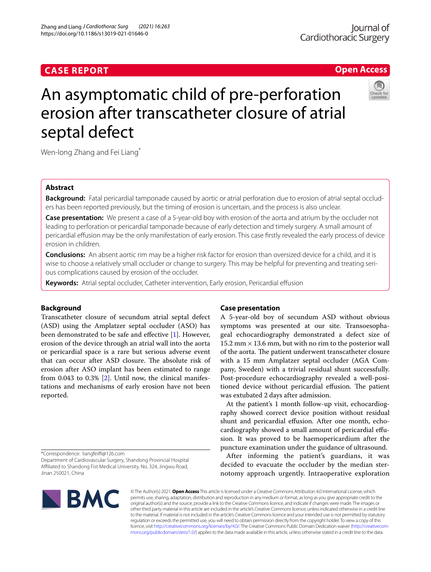## **CASE REPORT**

# **Open Access**



# An asymptomatic child of pre-perforation erosion after transcatheter closure of atrial septal defect

Wen-long Zhang and Fei Liang<sup>\*</sup>

## **Abstract**

**Background:** Fatal pericardial tamponade caused by aortic or atrial perforation due to erosion of atrial septal occluders has been reported previously, but the timing of erosion is uncertain, and the process is also unclear.

**Case presentation:** We present a case of a 5-year-old boy with erosion of the aorta and atrium by the occluder not leading to perforation or pericardial tamponade because of early detection and timely surgery. A small amount of pericardial effusion may be the only manifestation of early erosion. This case firstly revealed the early process of device erosion in children.

**Conclusions:** An absent aortic rim may be a higher risk factor for erosion than oversized device for a child, and it is wise to choose a relatively small occluder or change to surgery. This may be helpful for preventing and treating serious complications caused by erosion of the occluder.

**Keywords:** Atrial septal occluder, Catheter intervention, Early erosion, Pericardial efusion

## **Background**

Transcatheter closure of secundum atrial septal defect (ASD) using the Amplatzer septal occluder (ASO) has been demonstrated to be safe and efective [[1\]](#page-2-0). However, erosion of the device through an atrial wall into the aorta or pericardial space is a rare but serious adverse event that can occur after ASD closure. The absolute risk of erosion after ASO implant has been estimated to range from 0.043 to 0.3% [[2\]](#page-2-1). Until now, the clinical manifestations and mechanisms of early erosion have not been reported.

## **Case presentation**

A 5-year-old boy of secundum ASD without obvious symptoms was presented at our site. Transoesophageal echocardiography demonstrated a defect size of 15.2 mm  $\times$  13.6 mm, but with no rim to the posterior wall of the aorta. The patient underwent transcatheter closure with a 15 mm Amplatzer septal occluder (AGA Company, Sweden) with a trivial residual shunt successfully. Post-procedure echocardiography revealed a well-positioned device without pericardial effusion. The patient was extubated 2 days after admission.

At the patient's 1 month follow-up visit, echocardiography showed correct device position without residual shunt and pericardial effusion. After one month, echocardiography showed a small amount of pericardial efusion. It was proved to be haemopericardium after the puncture examination under the guidance of ultrasound.

After informing the patient's guardians, it was decided to evacuate the occluder by the median sternotomy approach urgently. Intraoperative exploration

\*Correspondence: liangfeilf@126.com

Department of Cardiovascular Surgery, Shandong Provincial Hospital Afliated to Shandong Fist Medical University, No. 324, Jingwu Road, Jinan 250021, China



© The Author(s) 2021. **Open Access** This article is licensed under a Creative Commons Attribution 4.0 International License, which permits use, sharing, adaptation, distribution and reproduction in any medium or format, as long as you give appropriate credit to the original author(s) and the source, provide a link to the Creative Commons licence, and indicate if changes were made. The images or other third party material in this article are included in the article's Creative Commons licence, unless indicated otherwise in a credit line to the material. If material is not included in the article's Creative Commons licence and your intended use is not permitted by statutory regulation or exceeds the permitted use, you will need to obtain permission directly from the copyright holder. To view a copy of this licence, visit [http://creativecommons.org/licenses/by/4.0/.](http://creativecommons.org/licenses/by/4.0/) The Creative Commons Public Domain Dedication waiver (http://creativecom· [mons.org/publicdomain/zero/1.0/\)](http://creativecommons.org/publicdomain/zero/1.0/) applies to the data made available in this article, unless otherwise stated in a credit line to the data.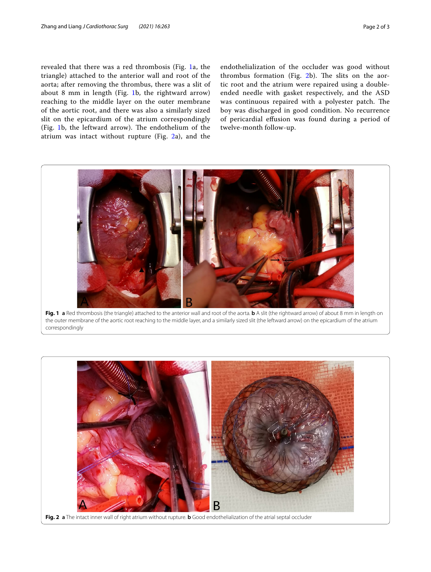revealed that there was a red thrombosis (Fig. [1](#page-1-0)a, the triangle) attached to the anterior wall and root of the aorta; after removing the thrombus, there was a slit of about 8 mm in length (Fig. [1](#page-1-0)b, the rightward arrow) reaching to the middle layer on the outer membrane of the aortic root, and there was also a similarly sized slit on the epicardium of the atrium correspondingly (Fig. [1b](#page-1-0), the leftward arrow). The endothelium of the atrium was intact without rupture (Fig. [2](#page-1-1)a), and the

endothelialization of the occluder was good without thrombus formation (Fig.  $2b$  $2b$ ). The slits on the aortic root and the atrium were repaired using a doubleended needle with gasket respectively, and the ASD was continuous repaired with a polyester patch. The boy was discharged in good condition. No recurrence of pericardial efusion was found during a period of twelve-month follow-up.



<span id="page-1-0"></span>the outer membrane of the aortic root reaching to the middle layer, and a similarly sized slit (the leftward arrow) on the epicardium of the atrium correspondingly

<span id="page-1-1"></span>